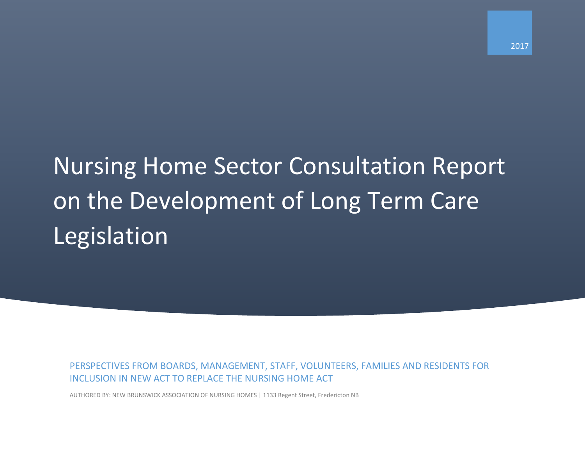# Nursing Home Sector Consultation Report on the Development of Long Term Care Legislation

PERSPECTIVES FROM BOARDS, MANAGEMENT, STAFF, VOLUNTEERS, FAMILIES AND RESIDENTS FOR INCLUSION IN NEW ACT TO REPLACE THE NURSING HOME ACT

AUTHORED BY: NEW BRUNSWICK ASSOCIATION OF NURSING HOMES | 1133 Regent Street, Fredericton NB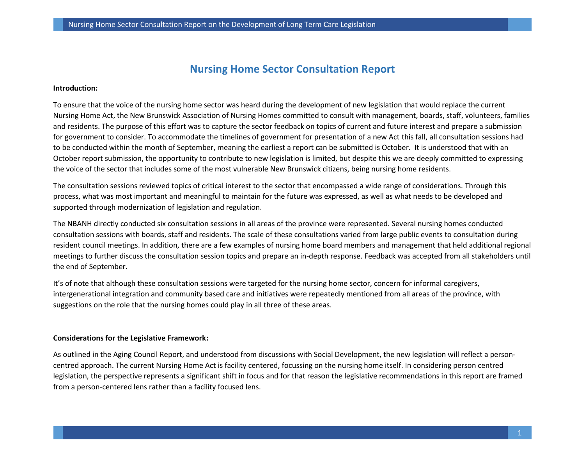# **Nursing Home Sector Consultation Report**

#### **Introduction:**

To ensure that the voice of the nursing home sector was heard during the development of new legislation that would replace the current Nursing Home Act, the New Brunswick Association of Nursing Homes committed to consult with management, boards, staff, volunteers, families and residents. The purpose of this effort was to capture the sector feedback on topics of current and future interest and prepare a submission for government to consider. To accommodate the timelines of government for presentation of a new Act this fall, all consultation sessions had to be conducted within the month of September, meaning the earliest a report can be submitted is October. It is understood that with an October report submission, the opportunity to contribute to new legislation is limited, but despite this we are deeply committed to expressing the voice of the sector that includes some of the most vulnerable New Brunswick citizens, being nursing home residents.

The consultation sessions reviewed topics of critical interest to the sector that encompassed a wide range of considerations. Through this process, what was most important and meaningful to maintain for the future was expressed, as well as what needs to be developed and supported through modernization of legislation and regulation.

The NBANH directly conducted six consultation sessions in all areas of the province were represented. Several nursing homes conducted consultation sessions with boards, staff and residents. The scale of these consultations varied from large public events to consultation during resident council meetings. In addition, there are a few examples of nursing home board members and management that held additional regional meetings to further discuss the consultation session topics and prepare an in-depth response. Feedback was accepted from all stakeholders until the end of September.

It's of note that although these consultation sessions were targeted for the nursing home sector, concern for informal caregivers, intergenerational integration and community based care and initiatives were repeatedly mentioned from all areas of the province, with suggestions on the role that the nursing homes could play in all three of these areas.

#### **Considerations for the Legislative Framework:**

As outlined in the Aging Council Report, and understood from discussions with Social Development, the new legislation will reflect a personcentred approach. The current Nursing Home Act is facility centered, focussing on the nursing home itself. In considering person centred legislation, the perspective represents a significant shift in focus and for that reason the legislative recommendations in this report are framed from a person-centered lens rather than a facility focused lens.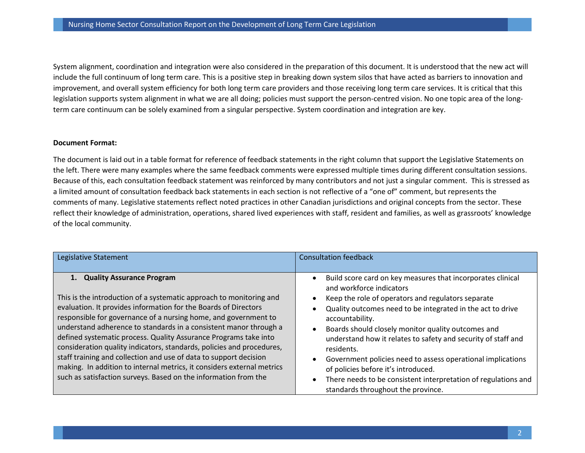System alignment, coordination and integration were also considered in the preparation of this document. It is understood that the new act will include the full continuum of long term care. This is a positive step in breaking down system silos that have acted as barriers to innovation and improvement, and overall system efficiency for both long term care providers and those receiving long term care services. It is critical that this legislation supports system alignment in what we are all doing; policies must support the person-centred vision. No one topic area of the longterm care continuum can be solely examined from a singular perspective. System coordination and integration are key.

#### **Document Format:**

The document is laid out in a table format for reference of feedback statements in the right column that support the Legislative Statements on the left. There were many examples where the same feedback comments were expressed multiple times during different consultation sessions. Because of this, each consultation feedback statement was reinforced by many contributors and not just a singular comment. This is stressed as a limited amount of consultation feedback back statements in each section is not reflective of a "one of" comment, but represents the comments of many. Legislative statements reflect noted practices in other Canadian jurisdictions and original concepts from the sector. These reflect their knowledge of administration, operations, shared lived experiences with staff, resident and families, as well as grassroots' knowledge of the local community.

| <b>Quality Assurance Program</b><br>and workforce indicators                                                                                                                                                                                                                                                                                                                                                                                                                                                                                                                                                                                                                                                                                                                                                          | Legislative Statement                                               | <b>Consultation feedback</b>                                                                                                                                                                                                                                                                                        |
|-----------------------------------------------------------------------------------------------------------------------------------------------------------------------------------------------------------------------------------------------------------------------------------------------------------------------------------------------------------------------------------------------------------------------------------------------------------------------------------------------------------------------------------------------------------------------------------------------------------------------------------------------------------------------------------------------------------------------------------------------------------------------------------------------------------------------|---------------------------------------------------------------------|---------------------------------------------------------------------------------------------------------------------------------------------------------------------------------------------------------------------------------------------------------------------------------------------------------------------|
| evaluation. It provides information for the Boards of Directors<br>Quality outcomes need to be integrated in the act to drive<br>responsible for governance of a nursing home, and government to<br>accountability.<br>understand adherence to standards in a consistent manor through a<br>Boards should closely monitor quality outcomes and<br>$\bullet$<br>defined systematic process. Quality Assurance Programs take into<br>consideration quality indicators, standards, policies and procedures,<br>residents.<br>staff training and collection and use of data to support decision<br>making. In addition to internal metrics, it considers external metrics<br>of policies before it's introduced.<br>such as satisfaction surveys. Based on the information from the<br>standards throughout the province. | This is the introduction of a systematic approach to monitoring and | Build score card on key measures that incorporates clinical<br>Keep the role of operators and regulators separate<br>understand how it relates to safety and security of staff and<br>Government policies need to assess operational implications<br>There needs to be consistent interpretation of regulations and |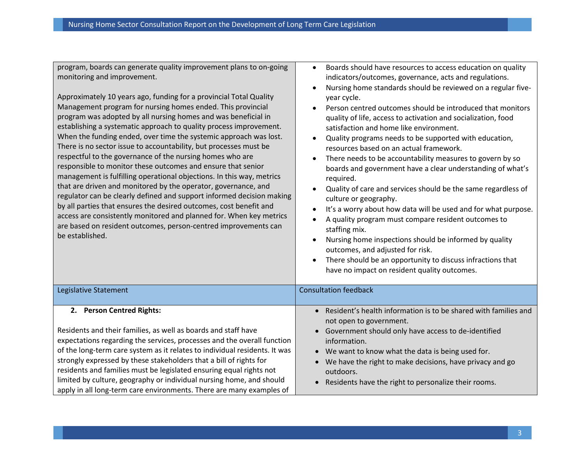program, boards can generate quality improvement plans to on-going monitoring and improvement.

Approximately 10 years ago, funding for a provincial Total Quality Management program for nursing homes ended. This provincial program was adopted by all nursing homes and was beneficial in establishing a systematic approach to quality process improvement. When the funding ended, over time the systemic approach was lost. There is no sector issue to accountability, but processes must be respectful to the governance of the nursing homes who are responsible to monitor these outcomes and ensure that senior management is fulfilling operational objections. In this way, metrics that are driven and monitored by the operator, governance, and regulator can be clearly defined and support informed decision making by all parties that ensures the desired outcomes, cost benefit and access are consistently monitored and planned for. When key metrics are based on resident outcomes, person-centred improvements can be established.

- Boards should have resources to access education on quality indicators/outcomes, governance, acts and regulations.
- Nursing home standards should be reviewed on a regular fiveyear cycle.
- Person centred outcomes should be introduced that monitors quality of life, access to activation and socialization, food satisfaction and home like environment.
- Quality programs needs to be supported with education, resources based on an actual framework.
- There needs to be accountability measures to govern by so boards and government have a clear understanding of what's required.
- Quality of care and services should be the same regardless of culture or geography.
- It's a worry about how data will be used and for what purpose.
- A quality program must compare resident outcomes to staffing mix.
- Nursing home inspections should be informed by quality outcomes, and adjusted for risk.
- There should be an opportunity to discuss infractions that have no impact on resident quality outcomes.

| Legislative Statement                                                      | <b>Consultation feedback</b>                                      |
|----------------------------------------------------------------------------|-------------------------------------------------------------------|
|                                                                            |                                                                   |
| 2. Person Centred Rights:                                                  | • Resident's health information is to be shared with families and |
|                                                                            | not open to government.                                           |
| Residents and their families, as well as boards and staff have             | • Government should only have access to de-identified             |
| expectations regarding the services, processes and the overall function    | information.                                                      |
| of the long-term care system as it relates to individual residents. It was | • We want to know what the data is being used for.                |
| strongly expressed by these stakeholders that a bill of rights for         | • We have the right to make decisions, have privacy and go        |
| residents and families must be legislated ensuring equal rights not        | outdoors.                                                         |
| limited by culture, geography or individual nursing home, and should       | Residents have the right to personalize their rooms.<br>$\bullet$ |
| apply in all long-term care environments. There are many examples of       |                                                                   |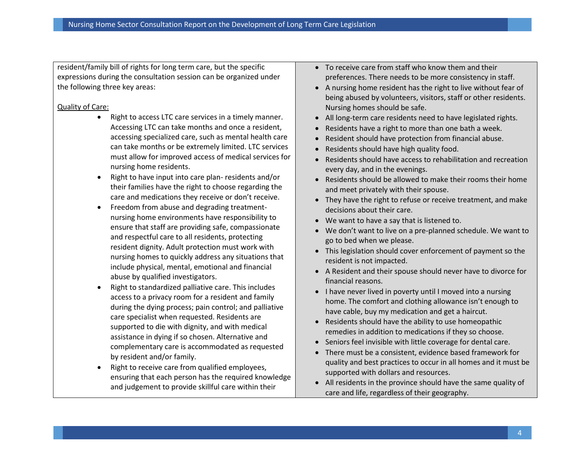resident/family bill of rights for long term care, but the specific expressions during the consultation session can be organized under the following three key areas:

# Quality of Care:

- Right to access LTC care services in a timely manner. Accessing LTC can take months and once a resident, accessing specialized care, such as mental health care can take months or be extremely limited. LTC services must allow for improved access of medical services for nursing home residents.
- Right to have input into care plan- residents and/or their families have the right to choose regarding the care and medications they receive or don't receive.
- Freedom from abuse and degrading treatmentnursing home environments have responsibility to ensure that staff are providing safe, compassionate and respectful care to all residents, protecting resident dignity. Adult protection must work with nursing homes to quickly address any situations that include physical, mental, emotional and financial abuse by qualified investigators.
- Right to standardized palliative care. This includes access to a privacy room for a resident and family during the dying process; pain control; and palliative care specialist when requested. Residents are supported to die with dignity, and with medical assistance in dying if so chosen. Alternative and complementary care is accommodated as requested by resident and/or family.
- Right to receive care from qualified employees, ensuring that each person has the required knowledge and judgement to provide skillful care within their
- To receive care from staff who know them and their preferences. There needs to be more consistency in staff.
- A nursing home resident has the right to live without fear of being abused by volunteers, visitors, staff or other residents. Nursing homes should be safe.
- All long-term care residents need to have legislated rights.
- Residents have a right to more than one bath a week.
- Resident should have protection from financial abuse.
- Residents should have high quality food.
- Residents should have access to rehabilitation and recreation every day, and in the evenings.
- Residents should be allowed to make their rooms their home and meet privately with their spouse.
- They have the right to refuse or receive treatment, and make decisions about their care.
- We want to have a say that is listened to.
- We don't want to live on a pre-planned schedule. We want to go to bed when we please.
- This legislation should cover enforcement of payment so the resident is not impacted.
- A Resident and their spouse should never have to divorce for financial reasons.
- I have never lived in poverty until I moved into a nursing home. The comfort and clothing allowance isn't enough to have cable, buy my medication and get a haircut.
- Residents should have the ability to use homeopathic remedies in addition to medications if they so choose.
- Seniors feel invisible with little coverage for dental care.
- There must be a consistent, evidence based framework for quality and best practices to occur in all homes and it must be supported with dollars and resources.
- All residents in the province should have the same quality of care and life, regardless of their geography.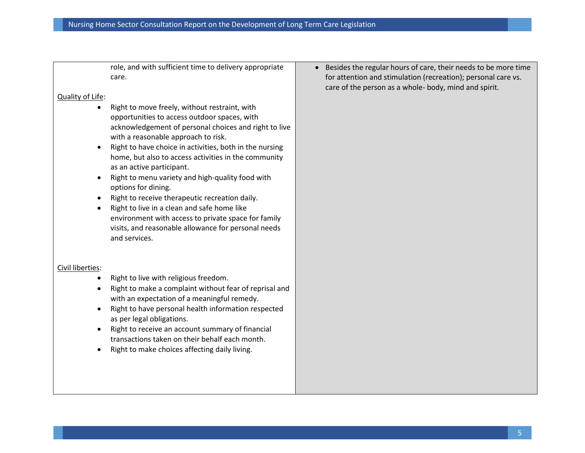role, and with sufficient time to delivery appropriate care.

# Quality of Life:

- Right to move freely, without restraint, with opportunities to access outdoor spaces, with acknowledgement of personal choices and right to live with a reasonable approach to risk.
- Right to have choice in activities, both in the nursing home, but also to access activities in the community as an active participant.
- Right to menu variety and high-quality food with options for dining.
- Right to receive therapeutic recreation daily.
- Right to live in a clean and safe home like environment with access to private space for family visits, and reasonable allowance for personal needs and services.

# Civil liberties:

- Right to live with religious freedom.
- Right to make a complaint without fear of reprisal and with an expectation of a meaningful remedy.
- Right to have personal health information respected as per legal obligations.
- Right to receive an account summary of financial transactions taken on their behalf each month.
- Right to make choices affecting daily living.

• Besides the regular hours of care, their needs to be more time for attention and stimulation (recreation); personal care vs. care of the person as a whole- body, mind and spirit.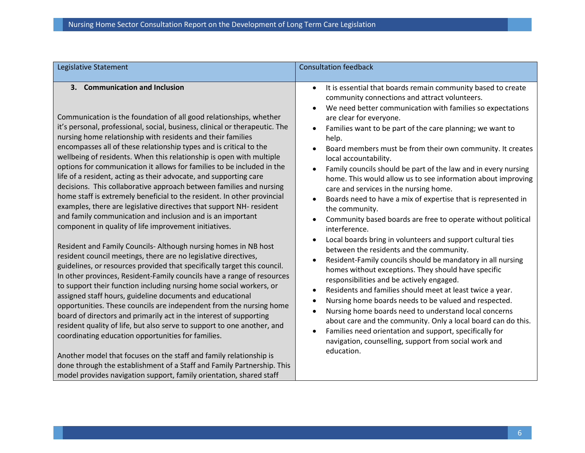| Legislative Statement                                                                                                                                                                                                                                                                                                                                                                                                                                                                                                                                                                                                                                                                                                                                                                                                                                                                                                                                               | <b>Consultation feedback</b>                                                                                                                                                                                                                                                                                                                                                                                                                                                                                                                                                                                                                                                                                                                                                                   |
|---------------------------------------------------------------------------------------------------------------------------------------------------------------------------------------------------------------------------------------------------------------------------------------------------------------------------------------------------------------------------------------------------------------------------------------------------------------------------------------------------------------------------------------------------------------------------------------------------------------------------------------------------------------------------------------------------------------------------------------------------------------------------------------------------------------------------------------------------------------------------------------------------------------------------------------------------------------------|------------------------------------------------------------------------------------------------------------------------------------------------------------------------------------------------------------------------------------------------------------------------------------------------------------------------------------------------------------------------------------------------------------------------------------------------------------------------------------------------------------------------------------------------------------------------------------------------------------------------------------------------------------------------------------------------------------------------------------------------------------------------------------------------|
| 3. Communication and Inclusion<br>Communication is the foundation of all good relationships, whether<br>it's personal, professional, social, business, clinical or therapeutic. The<br>nursing home relationship with residents and their families<br>encompasses all of these relationship types and is critical to the<br>wellbeing of residents. When this relationship is open with multiple<br>options for communication it allows for families to be included in the<br>life of a resident, acting as their advocate, and supporting care<br>decisions. This collaborative approach between families and nursing<br>home staff is extremely beneficial to the resident. In other provincial<br>examples, there are legislative directives that support NH- resident<br>and family communication and inclusion and is an important<br>component in quality of life improvement initiatives.<br>Resident and Family Councils- Although nursing homes in NB host | It is essential that boards remain community based to create<br>$\bullet$<br>community connections and attract volunteers.<br>We need better communication with families so expectations<br>are clear for everyone.<br>Families want to be part of the care planning; we want to<br>help.<br>Board members must be from their own community. It creates<br>local accountability.<br>Family councils should be part of the law and in every nursing<br>home. This would allow us to see information about improving<br>care and services in the nursing home.<br>Boards need to have a mix of expertise that is represented in<br>the community.<br>Community based boards are free to operate without political<br>interference.<br>Local boards bring in volunteers and support cultural ties |
| resident council meetings, there are no legislative directives,<br>guidelines, or resources provided that specifically target this council.<br>In other provinces, Resident-Family councils have a range of resources<br>to support their function including nursing home social workers, or<br>assigned staff hours, guideline documents and educational<br>opportunities. These councils are independent from the nursing home<br>board of directors and primarily act in the interest of supporting<br>resident quality of life, but also serve to support to one another, and<br>coordinating education opportunities for families.<br>Another model that focuses on the staff and family relationship is<br>done through the establishment of a Staff and Family Partnership. This<br>model provides navigation support, family orientation, shared staff                                                                                                      | between the residents and the community.<br>Resident-Family councils should be mandatory in all nursing<br>homes without exceptions. They should have specific<br>responsibilities and be actively engaged.<br>Residents and families should meet at least twice a year.<br>Nursing home boards needs to be valued and respected.<br>Nursing home boards need to understand local concerns<br>about care and the community. Only a local board can do this.<br>Families need orientation and support, specifically for<br>$\bullet$<br>navigation, counselling, support from social work and<br>education.                                                                                                                                                                                     |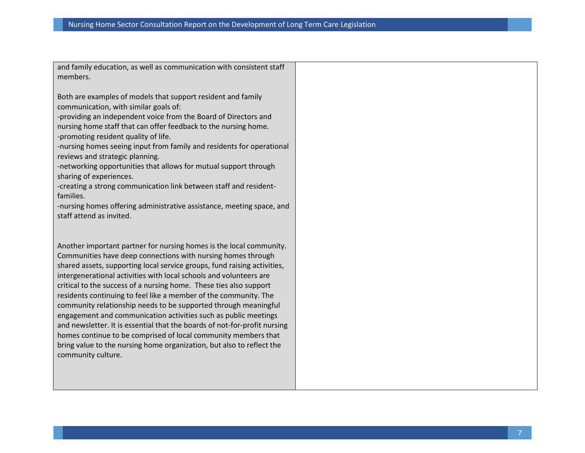and family education, as well as communication with consistent staff members.

Both are examples of models that support resident and family communication, with similar goals of:

-providing an independent voice from the Board of Directors and nursing home staff that can offer feedback to the nursing home. -promoting resident quality of life.

-nursing homes seeing input from family and residents for operational reviews and strategic planning.

-networking opportunities that allows for mutual support through sharing of experiences.

-creating a strong communication link between staff and residentfamilies.

-nursing homes offering administrative assistance, meeting space, and staff attend as invited.

Another important partner for nursing homes is the local community. Communities have deep connections with nursing homes through shared assets, supporting local service groups, fund raising activities, intergenerational activities with local schools and volunteers are critical to the success of a nursing home. These ties also support residents continuing to feel like a member of the community. The community relationship needs to be supported through meaningful engagement and communication activities such as public meetings and newsletter. It is essential that the boards of not-for-profit nursing homes continue to be comprised of local community members that bring value to the nursing home organization, but also to reflect the community culture.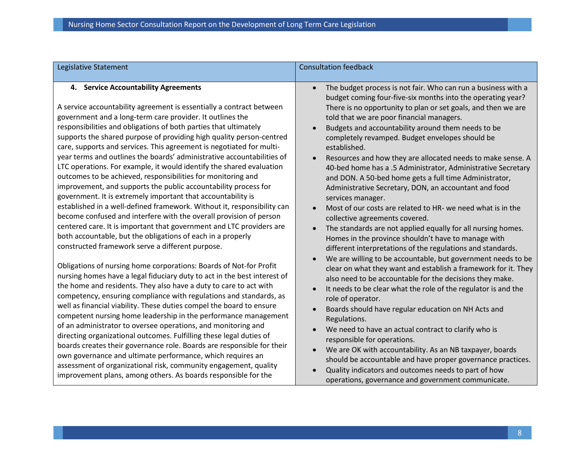| Legislative Statement                                                                                                                                                                                                                                                                                                                                                                                                                                                                                                                                                                                                                                                                                                                                                                                                                                                                                                                                                                                                                                                                                                                                                                                                                                                                                                                                                                                                                                                                                                                                                                                                                                                                                                                                                                                                                                                                      | <b>Consultation feedback</b>                                                                                                                                                                                                                                                                                                                                                                                                                                                                                                                                                                                                                                                                                                                                                                                                                                                                                                                                                                                                                                                                                                                                                                                                                                                                                                                                                                                                                                                                                                                                                                                   |
|--------------------------------------------------------------------------------------------------------------------------------------------------------------------------------------------------------------------------------------------------------------------------------------------------------------------------------------------------------------------------------------------------------------------------------------------------------------------------------------------------------------------------------------------------------------------------------------------------------------------------------------------------------------------------------------------------------------------------------------------------------------------------------------------------------------------------------------------------------------------------------------------------------------------------------------------------------------------------------------------------------------------------------------------------------------------------------------------------------------------------------------------------------------------------------------------------------------------------------------------------------------------------------------------------------------------------------------------------------------------------------------------------------------------------------------------------------------------------------------------------------------------------------------------------------------------------------------------------------------------------------------------------------------------------------------------------------------------------------------------------------------------------------------------------------------------------------------------------------------------------------------------|----------------------------------------------------------------------------------------------------------------------------------------------------------------------------------------------------------------------------------------------------------------------------------------------------------------------------------------------------------------------------------------------------------------------------------------------------------------------------------------------------------------------------------------------------------------------------------------------------------------------------------------------------------------------------------------------------------------------------------------------------------------------------------------------------------------------------------------------------------------------------------------------------------------------------------------------------------------------------------------------------------------------------------------------------------------------------------------------------------------------------------------------------------------------------------------------------------------------------------------------------------------------------------------------------------------------------------------------------------------------------------------------------------------------------------------------------------------------------------------------------------------------------------------------------------------------------------------------------------------|
| 4. Service Accountability Agreements<br>A service accountability agreement is essentially a contract between<br>government and a long-term care provider. It outlines the<br>responsibilities and obligations of both parties that ultimately<br>supports the shared purpose of providing high quality person-centred<br>care, supports and services. This agreement is negotiated for multi-<br>year terms and outlines the boards' administrative accountabilities of<br>LTC operations. For example, it would identify the shared evaluation<br>outcomes to be achieved, responsibilities for monitoring and<br>improvement, and supports the public accountability process for<br>government. It is extremely important that accountability is<br>established in a well-defined framework. Without it, responsibility can<br>become confused and interfere with the overall provision of person<br>centered care. It is important that government and LTC providers are<br>both accountable, but the obligations of each in a properly<br>constructed framework serve a different purpose.<br>Obligations of nursing home corporations: Boards of Not-for Profit<br>nursing homes have a legal fiduciary duty to act in the best interest of<br>the home and residents. They also have a duty to care to act with<br>competency, ensuring compliance with regulations and standards, as<br>well as financial viability. These duties compel the board to ensure<br>competent nursing home leadership in the performance management<br>of an administrator to oversee operations, and monitoring and<br>directing organizational outcomes. Fulfilling these legal duties of<br>boards creates their governance role. Boards are responsible for their<br>own governance and ultimate performance, which requires an<br>assessment of organizational risk, community engagement, quality | The budget process is not fair. Who can run a business with a<br>$\bullet$<br>budget coming four-five-six months into the operating year?<br>There is no opportunity to plan or set goals, and then we are<br>told that we are poor financial managers.<br>Budgets and accountability around them needs to be<br>$\bullet$<br>completely revamped. Budget envelopes should be<br>established.<br>Resources and how they are allocated needs to make sense. A<br>40-bed home has a .5 Administrator, Administrative Secretary<br>and DON. A 50-bed home gets a full time Administrator,<br>Administrative Secretary, DON, an accountant and food<br>services manager.<br>Most of our costs are related to HR- we need what is in the<br>collective agreements covered.<br>The standards are not applied equally for all nursing homes.<br>Homes in the province shouldn't have to manage with<br>different interpretations of the regulations and standards.<br>We are willing to be accountable, but government needs to be<br>clear on what they want and establish a framework for it. They<br>also need to be accountable for the decisions they make.<br>It needs to be clear what the role of the regulator is and the<br>role of operator.<br>Boards should have regular education on NH Acts and<br>Regulations.<br>We need to have an actual contract to clarify who is<br>$\bullet$<br>responsible for operations.<br>We are OK with accountability. As an NB taxpayer, boards<br>should be accountable and have proper governance practices.<br>Quality indicators and outcomes needs to part of how |
| improvement plans, among others. As boards responsible for the                                                                                                                                                                                                                                                                                                                                                                                                                                                                                                                                                                                                                                                                                                                                                                                                                                                                                                                                                                                                                                                                                                                                                                                                                                                                                                                                                                                                                                                                                                                                                                                                                                                                                                                                                                                                                             | operations, governance and government communicate.                                                                                                                                                                                                                                                                                                                                                                                                                                                                                                                                                                                                                                                                                                                                                                                                                                                                                                                                                                                                                                                                                                                                                                                                                                                                                                                                                                                                                                                                                                                                                             |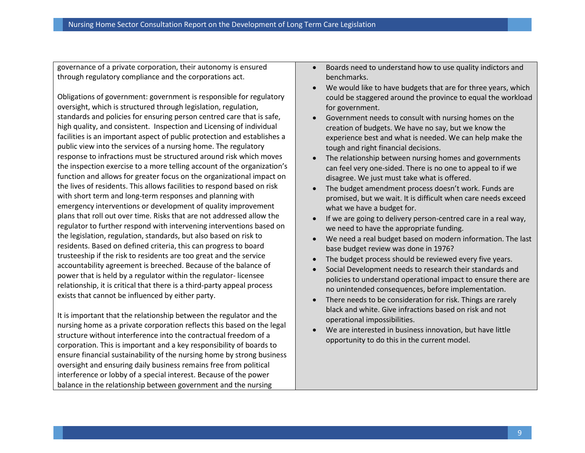governance of a private corporation, their autonomy is ensured through regulatory compliance and the corporations act.

Obligations of government: government is responsible for regulatory oversight, which is structured through legislation, regulation, standards and policies for ensuring person centred care that is safe, high quality, and consistent. Inspection and Licensing of individual facilities is an important aspect of public protection and establishes a public view into the services of a nursing home. The regulatory response to infractions must be structured around risk which moves the inspection exercise to a more telling account of the organization's function and allows for greater focus on the organizational impact on the lives of residents. This allows facilities to respond based on risk with short term and long-term responses and planning with emergency interventions or development of quality improvement plans that roll out over time. Risks that are not addressed allow the regulator to further respond with intervening interventions based on the legislation, regulation, standards, but also based on risk to residents. Based on defined criteria, this can progress to board trusteeship if the risk to residents are too great and the service accountability agreement is breeched. Because of the balance of power that is held by a regulator within the regulator- licensee relationship, it is critical that there is a third-party appeal process exists that cannot be influenced by either party.

It is important that the relationship between the regulator and the nursing home as a private corporation reflects this based on the legal structure without interference into the contractual freedom of a corporation. This is important and a key responsibility of boards to ensure financial sustainability of the nursing home by strong business oversight and ensuring daily business remains free from political interference or lobby of a special interest. Because of the power balance in the relationship between government and the nursing

- Boards need to understand how to use quality indictors and benchmarks.
- We would like to have budgets that are for three years, which could be staggered around the province to equal the workload for government.
- Government needs to consult with nursing homes on the creation of budgets. We have no say, but we know the experience best and what is needed. We can help make the tough and right financial decisions.
- The relationship between nursing homes and governments can feel very one-sided. There is no one to appeal to if we disagree. We just must take what is offered.
- The budget amendment process doesn't work. Funds are promised, but we wait. It is difficult when care needs exceed what we have a budget for.
- If we are going to delivery person-centred care in a real way, we need to have the appropriate funding.
- We need a real budget based on modern information. The last base budget review was done in 1976?
- The budget process should be reviewed every five years.
- Social Development needs to research their standards and policies to understand operational impact to ensure there are no unintended consequences, before implementation.
- There needs to be consideration for risk. Things are rarely black and white. Give infractions based on risk and not operational impossibilities.
- We are interested in business innovation, but have little opportunity to do this in the current model.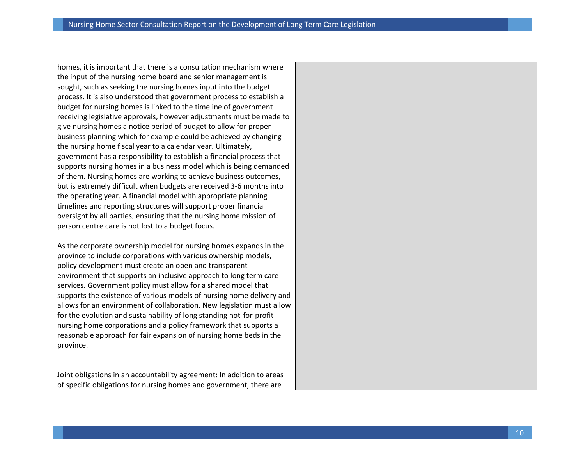homes, it is important that there is a consultation mechanism where the input of the nursing home board and senior management is sought, such as seeking the nursing homes input into the budget process. It is also understood that government process to establish a budget for nursing homes is linked to the timeline of government receiving legislative approvals, however adjustments must be made to give nursing homes a notice period of budget to allow for proper business planning which for example could be achieved by changing the nursing home fiscal year to a calendar year. Ultimately, government has a responsibility to establish a financial process that supports nursing homes in a business model which is being demanded of them. Nursing homes are working to achieve business outcomes, but is extremely difficult when budgets are received 3-6 months into the operating year. A financial model with appropriate planning timelines and reporting structures will support proper financial oversight by all parties, ensuring that the nursing home mission of person centre care is not lost to a budget focus.

As the corporate ownership model for nursing homes expands in the province to include corporations with various ownership models, policy development must create an open and transparent environment that supports an inclusive approach to long term care services. Government policy must allow for a shared model that supports the existence of various models of nursing home delivery and allows for an environment of collaboration. New legislation must allow for the evolution and sustainability of long standing not-for-profit nursing home corporations and a policy framework that supports a reasonable approach for fair expansion of nursing home beds in the province.

Joint obligations in an accountability agreement: In addition to areas of specific obligations for nursing homes and government, there are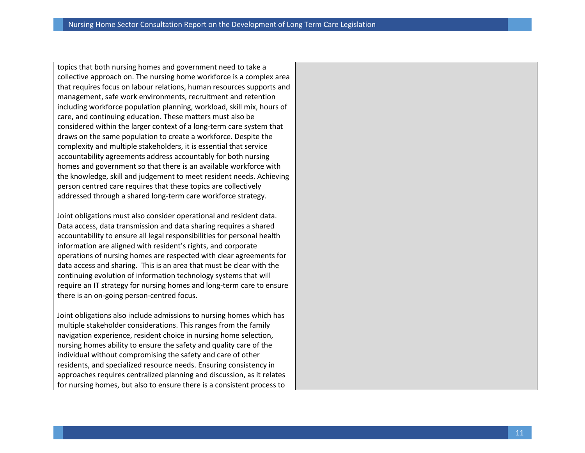topics that both nursing homes and government need to take a collective approach on. The nursing home workforce is a complex area that requires focus on labour relations, human resources supports and management, safe work environments, recruitment and retention including workforce population planning, workload, skill mix, hours of care, and continuing education. These matters must also be considered within the larger context of a long-term care system that draws on the same population to create a workforce. Despite the complexity and multiple stakeholders, it is essential that service accountability agreements address accountably for both nursing homes and government so that there is an available workforce with the knowledge, skill and judgement to meet resident needs. Achieving person centred care requires that these topics are collectively addressed through a shared long-term care workforce strategy.

Joint obligations must also consider operational and resident data. Data access, data transmission and data sharing requires a shared accountability to ensure all legal responsibilities for personal health information are aligned with resident's rights, and corporate operations of nursing homes are respected with clear agreements for data access and sharing. This is an area that must be clear with the continuing evolution of information technology systems that will require an IT strategy for nursing homes and long-term care to ensure there is an on-going person-centred focus.

Joint obligations also include admissions to nursing homes which has multiple stakeholder considerations. This ranges from the family navigation experience, resident choice in nursing home selection, nursing homes ability to ensure the safety and quality care of the individual without compromising the safety and care of other residents, and specialized resource needs. Ensuring consistency in approaches requires centralized planning and discussion, as it relates for nursing homes, but also to ensure there is a consistent process to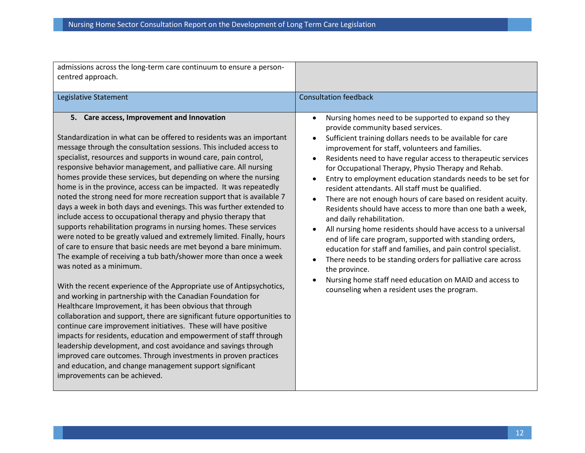| admissions across the long-term care continuum to ensure a person-<br>centred approach.                                                                                                                                                                                                                                                                                                                                                                                                                                                                                                                                                                                                                                                                                                                                                                                                                                                                                                                                                                                                                                                                                                                                                                                                                                                                                                                                                                                                                                                                                                                                                                                |                                                                                                                                                                                                                                                                                                                                                                                                                                                                                                                                                                                                                                                                                                                                                                                                                                                                                                                                                                                                                                        |
|------------------------------------------------------------------------------------------------------------------------------------------------------------------------------------------------------------------------------------------------------------------------------------------------------------------------------------------------------------------------------------------------------------------------------------------------------------------------------------------------------------------------------------------------------------------------------------------------------------------------------------------------------------------------------------------------------------------------------------------------------------------------------------------------------------------------------------------------------------------------------------------------------------------------------------------------------------------------------------------------------------------------------------------------------------------------------------------------------------------------------------------------------------------------------------------------------------------------------------------------------------------------------------------------------------------------------------------------------------------------------------------------------------------------------------------------------------------------------------------------------------------------------------------------------------------------------------------------------------------------------------------------------------------------|----------------------------------------------------------------------------------------------------------------------------------------------------------------------------------------------------------------------------------------------------------------------------------------------------------------------------------------------------------------------------------------------------------------------------------------------------------------------------------------------------------------------------------------------------------------------------------------------------------------------------------------------------------------------------------------------------------------------------------------------------------------------------------------------------------------------------------------------------------------------------------------------------------------------------------------------------------------------------------------------------------------------------------------|
| Legislative Statement                                                                                                                                                                                                                                                                                                                                                                                                                                                                                                                                                                                                                                                                                                                                                                                                                                                                                                                                                                                                                                                                                                                                                                                                                                                                                                                                                                                                                                                                                                                                                                                                                                                  | <b>Consultation feedback</b>                                                                                                                                                                                                                                                                                                                                                                                                                                                                                                                                                                                                                                                                                                                                                                                                                                                                                                                                                                                                           |
| 5. Care access, Improvement and Innovation<br>Standardization in what can be offered to residents was an important<br>message through the consultation sessions. This included access to<br>specialist, resources and supports in wound care, pain control,<br>responsive behavior management, and palliative care. All nursing<br>homes provide these services, but depending on where the nursing<br>home is in the province, access can be impacted. It was repeatedly<br>noted the strong need for more recreation support that is available 7<br>days a week in both days and evenings. This was further extended to<br>include access to occupational therapy and physio therapy that<br>supports rehabilitation programs in nursing homes. These services<br>were noted to be greatly valued and extremely limited. Finally, hours<br>of care to ensure that basic needs are met beyond a bare minimum.<br>The example of receiving a tub bath/shower more than once a week<br>was noted as a minimum.<br>With the recent experience of the Appropriate use of Antipsychotics,<br>and working in partnership with the Canadian Foundation for<br>Healthcare Improvement, it has been obvious that through<br>collaboration and support, there are significant future opportunities to<br>continue care improvement initiatives. These will have positive<br>impacts for residents, education and empowerment of staff through<br>leadership development, and cost avoidance and savings through<br>improved care outcomes. Through investments in proven practices<br>and education, and change management support significant<br>improvements can be achieved. | Nursing homes need to be supported to expand so they<br>$\bullet$<br>provide community based services.<br>Sufficient training dollars needs to be available for care<br>improvement for staff, volunteers and families.<br>Residents need to have regular access to therapeutic services<br>for Occupational Therapy, Physio Therapy and Rehab.<br>Entry to employment education standards needs to be set for<br>resident attendants. All staff must be qualified.<br>There are not enough hours of care based on resident acuity.<br>$\bullet$<br>Residents should have access to more than one bath a week,<br>and daily rehabilitation.<br>All nursing home residents should have access to a universal<br>end of life care program, supported with standing orders,<br>education for staff and families, and pain control specialist.<br>There needs to be standing orders for palliative care across<br>the province.<br>Nursing home staff need education on MAID and access to<br>counseling when a resident uses the program. |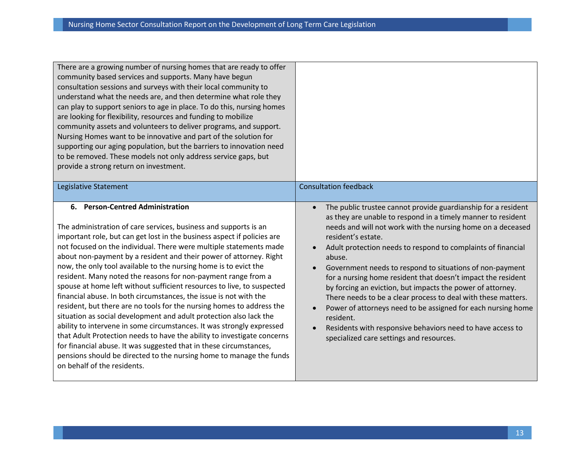| There are a growing number of nursing homes that are ready to offer<br>community based services and supports. Many have begun<br>consultation sessions and surveys with their local community to<br>understand what the needs are, and then determine what role they<br>can play to support seniors to age in place. To do this, nursing homes<br>are looking for flexibility, resources and funding to mobilize<br>community assets and volunteers to deliver programs, and support.<br>Nursing Homes want to be innovative and part of the solution for<br>supporting our aging population, but the barriers to innovation need<br>to be removed. These models not only address service gaps, but<br>provide a strong return on investment.                                                                                                                                                                                                                                                                                                                                                  | <b>Consultation feedback</b>                                                                                                                                                                                                                                                                                                                                                                                                                                                                                                                                                                                                                                                                                                                   |
|------------------------------------------------------------------------------------------------------------------------------------------------------------------------------------------------------------------------------------------------------------------------------------------------------------------------------------------------------------------------------------------------------------------------------------------------------------------------------------------------------------------------------------------------------------------------------------------------------------------------------------------------------------------------------------------------------------------------------------------------------------------------------------------------------------------------------------------------------------------------------------------------------------------------------------------------------------------------------------------------------------------------------------------------------------------------------------------------|------------------------------------------------------------------------------------------------------------------------------------------------------------------------------------------------------------------------------------------------------------------------------------------------------------------------------------------------------------------------------------------------------------------------------------------------------------------------------------------------------------------------------------------------------------------------------------------------------------------------------------------------------------------------------------------------------------------------------------------------|
| Legislative Statement                                                                                                                                                                                                                                                                                                                                                                                                                                                                                                                                                                                                                                                                                                                                                                                                                                                                                                                                                                                                                                                                          |                                                                                                                                                                                                                                                                                                                                                                                                                                                                                                                                                                                                                                                                                                                                                |
| 6. Person-Centred Administration<br>The administration of care services, business and supports is an<br>important role, but can get lost in the business aspect if policies are<br>not focused on the individual. There were multiple statements made<br>about non-payment by a resident and their power of attorney. Right<br>now, the only tool available to the nursing home is to evict the<br>resident. Many noted the reasons for non-payment range from a<br>spouse at home left without sufficient resources to live, to suspected<br>financial abuse. In both circumstances, the issue is not with the<br>resident, but there are no tools for the nursing homes to address the<br>situation as social development and adult protection also lack the<br>ability to intervene in some circumstances. It was strongly expressed<br>that Adult Protection needs to have the ability to investigate concerns<br>for financial abuse. It was suggested that in these circumstances,<br>pensions should be directed to the nursing home to manage the funds<br>on behalf of the residents. | The public trustee cannot provide guardianship for a resident<br>as they are unable to respond in a timely manner to resident<br>needs and will not work with the nursing home on a deceased<br>resident's estate.<br>Adult protection needs to respond to complaints of financial<br>abuse.<br>Government needs to respond to situations of non-payment<br>for a nursing home resident that doesn't impact the resident<br>by forcing an eviction, but impacts the power of attorney.<br>There needs to be a clear process to deal with these matters.<br>Power of attorneys need to be assigned for each nursing home<br>resident.<br>Residents with responsive behaviors need to have access to<br>specialized care settings and resources. |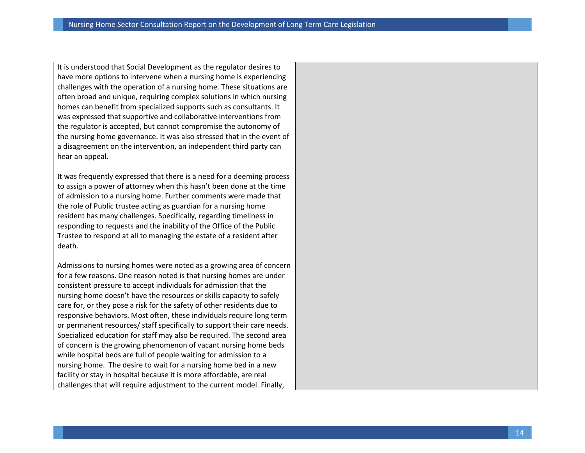It is understood that Social Development as the regulator desires to have more options to intervene when a nursing home is experiencing challenges with the operation of a nursing home. These situations are often broad and unique, requiring complex solutions in which nursing homes can benefit from specialized supports such as consultants. It was expressed that supportive and collaborative interventions from the regulator is accepted, but cannot compromise the autonomy of the nursing home governance. It was also stressed that in the event of a disagreement on the intervention, an independent third party can hear an appeal.

It was frequently expressed that there is a need for a deeming process to assign a power of attorney when this hasn't been done at the time of admission to a nursing home. Further comments were made that the role of Public trustee acting as guardian for a nursing home resident has many challenges. Specifically, regarding timeliness in responding to requests and the inability of the Office of the Public Trustee to respond at all to managing the estate of a resident after death.

Admissions to nursing homes were noted as a growing area of concern for a few reasons. One reason noted is that nursing homes are under consistent pressure to accept individuals for admission that the nursing home doesn't have the resources or skills capacity to safely care for, or they pose a risk for the safety of other residents due to responsive behaviors. Most often, these individuals require long term or permanent resources/ staff specifically to support their care needs. Specialized education for staff may also be required. The second area of concern is the growing phenomenon of vacant nursing home beds while hospital beds are full of people waiting for admission to a nursing home. The desire to wait for a nursing home bed in a new facility or stay in hospital because it is more affordable, are real challenges that will require adjustment to the current model. Finally,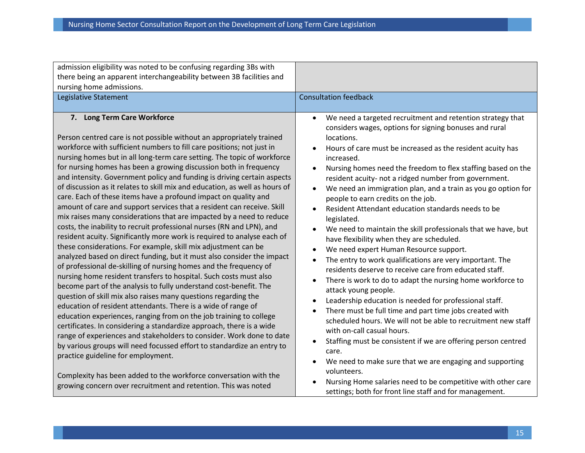| admission eligibility was noted to be confusing regarding 3Bs with<br>there being an apparent interchangeability between 3B facilities and<br>nursing home admissions.<br>Legislative Statement                                                                                                                                                                                                                                                                                                                                                                                                                                                                                                                                                                                                                                                                                                                                                                                                                                                                                                                                                                                                                                                                                                                                                                                                                                                                                                                                                                                                                                                                                                                                                                         | <b>Consultation feedback</b>                                                                                                                                                                                                                                                                                                                                                                                                                                                                                                                                                                                                                                                                                                                                                                                                                                                                                                                                                                                                                                                                                                                                                                                                                                                                                                                                                         |
|-------------------------------------------------------------------------------------------------------------------------------------------------------------------------------------------------------------------------------------------------------------------------------------------------------------------------------------------------------------------------------------------------------------------------------------------------------------------------------------------------------------------------------------------------------------------------------------------------------------------------------------------------------------------------------------------------------------------------------------------------------------------------------------------------------------------------------------------------------------------------------------------------------------------------------------------------------------------------------------------------------------------------------------------------------------------------------------------------------------------------------------------------------------------------------------------------------------------------------------------------------------------------------------------------------------------------------------------------------------------------------------------------------------------------------------------------------------------------------------------------------------------------------------------------------------------------------------------------------------------------------------------------------------------------------------------------------------------------------------------------------------------------|--------------------------------------------------------------------------------------------------------------------------------------------------------------------------------------------------------------------------------------------------------------------------------------------------------------------------------------------------------------------------------------------------------------------------------------------------------------------------------------------------------------------------------------------------------------------------------------------------------------------------------------------------------------------------------------------------------------------------------------------------------------------------------------------------------------------------------------------------------------------------------------------------------------------------------------------------------------------------------------------------------------------------------------------------------------------------------------------------------------------------------------------------------------------------------------------------------------------------------------------------------------------------------------------------------------------------------------------------------------------------------------|
| 7. Long Term Care Workforce<br>Person centred care is not possible without an appropriately trained<br>workforce with sufficient numbers to fill care positions; not just in<br>nursing homes but in all long-term care setting. The topic of workforce<br>for nursing homes has been a growing discussion both in frequency<br>and intensity. Government policy and funding is driving certain aspects<br>of discussion as it relates to skill mix and education, as well as hours of<br>care. Each of these items have a profound impact on quality and<br>amount of care and support services that a resident can receive. Skill<br>mix raises many considerations that are impacted by a need to reduce<br>costs, the inability to recruit professional nurses (RN and LPN), and<br>resident acuity. Significantly more work is required to analyse each of<br>these considerations. For example, skill mix adjustment can be<br>analyzed based on direct funding, but it must also consider the impact<br>of professional de-skilling of nursing homes and the frequency of<br>nursing home resident transfers to hospital. Such costs must also<br>become part of the analysis to fully understand cost-benefit. The<br>question of skill mix also raises many questions regarding the<br>education of resident attendants. There is a wide of range of<br>education experiences, ranging from on the job training to college<br>certificates. In considering a standardize approach, there is a wide<br>range of experiences and stakeholders to consider. Work done to date<br>by various groups will need focussed effort to standardize an entry to<br>practice guideline for employment.<br>Complexity has been added to the workforce conversation with the | We need a targeted recruitment and retention strategy that<br>considers wages, options for signing bonuses and rural<br>locations.<br>Hours of care must be increased as the resident acuity has<br>increased.<br>Nursing homes need the freedom to flex staffing based on the<br>resident acuity- not a ridged number from government.<br>We need an immigration plan, and a train as you go option for<br>people to earn credits on the job.<br>Resident Attendant education standards needs to be<br>$\bullet$<br>legislated.<br>We need to maintain the skill professionals that we have, but<br>have flexibility when they are scheduled.<br>We need expert Human Resource support.<br>The entry to work qualifications are very important. The<br>$\bullet$<br>residents deserve to receive care from educated staff.<br>There is work to do to adapt the nursing home workforce to<br>$\bullet$<br>attack young people.<br>Leadership education is needed for professional staff.<br>There must be full time and part time jobs created with<br>scheduled hours. We will not be able to recruitment new staff<br>with on-call casual hours.<br>Staffing must be consistent if we are offering person centred<br>$\bullet$<br>care.<br>We need to make sure that we are engaging and supporting<br>volunteers.<br>Nursing Home salaries need to be competitive with other care |
| growing concern over recruitment and retention. This was noted                                                                                                                                                                                                                                                                                                                                                                                                                                                                                                                                                                                                                                                                                                                                                                                                                                                                                                                                                                                                                                                                                                                                                                                                                                                                                                                                                                                                                                                                                                                                                                                                                                                                                                          | settings; both for front line staff and for management.                                                                                                                                                                                                                                                                                                                                                                                                                                                                                                                                                                                                                                                                                                                                                                                                                                                                                                                                                                                                                                                                                                                                                                                                                                                                                                                              |